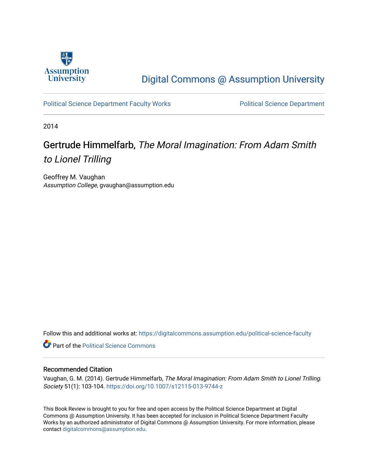

## [Digital Commons @ Assumption University](https://digitalcommons.assumption.edu/)

[Political Science Department Faculty Works](https://digitalcommons.assumption.edu/political-science-faculty) **Political Science Department** 

2014

## Gertrude Himmelfarb, The Moral Imagination: From Adam Smith to Lionel Trilling

Geoffrey M. Vaughan Assumption College, gvaughan@assumption.edu

Follow this and additional works at: [https://digitalcommons.assumption.edu/political-science-faculty](https://digitalcommons.assumption.edu/political-science-faculty?utm_source=digitalcommons.assumption.edu%2Fpolitical-science-faculty%2F50&utm_medium=PDF&utm_campaign=PDFCoverPages)

**Part of the Political Science Commons** 

## Recommended Citation

Vaughan, G. M. (2014). Gertrude Himmelfarb, The Moral Imagination: From Adam Smith to Lionel Trilling. Society 51(1): 103-104.<https://doi.org/10.1007/s12115-013-9744-z>

This Book Review is brought to you for free and open access by the Political Science Department at Digital Commons @ Assumption University. It has been accepted for inclusion in Political Science Department Faculty Works by an authorized administrator of Digital Commons @ Assumption University. For more information, please contact [digitalcommons@assumption.edu.](mailto:digitalcommons@assumption.edu)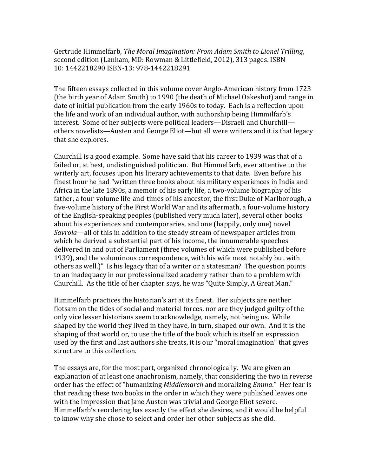Gertrude Himmelfarb, *The Moral Imagination: From Adam Smith to Lionel Trilling*, second edition (Lanham, MD: Rowman & Littlefield, 2012), 313 pages. ISBN-10: 1442218290 ISBN-13: 978-1442218291

The fifteen essays collected in this volume cover Anglo-American history from 1723 (the birth year of Adam Smith) to 1990 (the death of Michael Oakeshot) and range in date of initial publication from the early 1960s to today. Each is a reflection upon the life and work of an individual author, with authorship being Himmilfarb's interest. Some of her subjects were political leaders—Disraeli and Churchill others novelists—Austen and George Eliot—but all were writers and it is that legacy that she explores.

Churchill is a good example. Some have said that his career to 1939 was that of a failed or, at best, undistinguished politician. But Himmelfarb, ever attentive to the writerly art, focuses upon his literary achievements to that date. Even before his finest hour he had "written three books about his military experiences in India and Africa in the late 1890s, a memoir of his early life, a two-volume biography of his father, a four-volume life-and-times of his ancestor, the first Duke of Marlborough, a five-volume history of the First World War and its aftermath, a four-volume history of the English-speaking peoples (published very much later), several other books about his experiences and contemporaries, and one (happily, only one) novel *Savrola*—all of this in addition to the steady stream of newspaper articles from which he derived a substantial part of his income, the innumerable speeches delivered in and out of Parliament (three volumes of which were published before 1939), and the voluminous correspondence, with his wife most notably but with others as well.)" Is his legacy that of a writer or a statesman? The question points to an inadequacy in our professionalized academy rather than to a problem with Churchill. As the title of her chapter says, he was "Quite Simply, A Great Man."

Himmelfarb practices the historian's art at its finest. Her subjects are neither flotsam on the tides of social and material forces, nor are they judged guilty of the only vice lesser historians seem to acknowledge, namely, not being us. While shaped by the world they lived in they have, in turn, shaped our own. And it is the shaping of that world or, to use the title of the book which is itself an expression used by the first and last authors she treats, it is our "moral imagination" that gives structure to this collection.

The essays are, for the most part, organized chronologically. We are given an explanation of at least one anachronism, namely, that considering the two in reverse order has the effect of "humanizing *Middlemarch* and moralizing *Emma*." Her fear is that reading these two books in the order in which they were published leaves one with the impression that Jane Austen was trivial and George Eliot severe. Himmelfarb's reordering has exactly the effect she desires, and it would be helpful to know why she chose to select and order her other subjects as she did.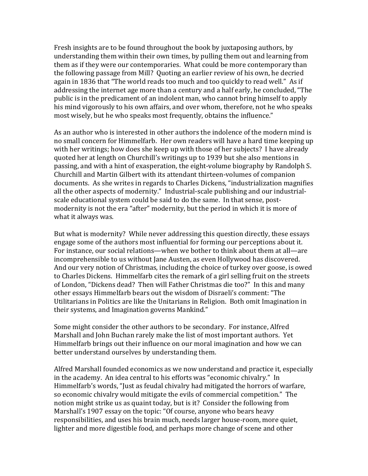Fresh insights are to be found throughout the book by juxtaposing authors, by understanding them within their own times, by pulling them out and learning from them as if they were our contemporaries. What could be more contemporary than the following passage from Mill? Quoting an earlier review of his own, he decried again in 1836 that "The world reads too much and too quickly to read well." As if addressing the internet age more than a century and a half early, he concluded, "The public is in the predicament of an indolent man, who cannot bring himself to apply his mind vigorously to his own affairs, and over whom, therefore, not he who speaks most wisely, but he who speaks most frequently, obtains the influence."

As an author who is interested in other authors the indolence of the modern mind is no small concern for Himmelfarb. Her own readers will have a hard time keeping up with her writings; how does she keep up with those of her subjects? I have already quoted her at length on Churchill's writings up to 1939 but she also mentions in passing, and with a hint of exasperation, the eight-volume biography by Randolph S. Churchill and Martin Gilbert with its attendant thirteen-volumes of companion documents. As she writes in regards to Charles Dickens, "industrialization magnifies all the other aspects of modernity." Industrial-scale publishing and our industrialscale educational system could be said to do the same. In that sense, postmodernity is not the era "after" modernity, but the period in which it is more of what it always was.

But what is modernity? While never addressing this question directly, these essays engage some of the authors most influential for forming our perceptions about it. For instance, our social relations—when we bother to think about them at all—are incomprehensible to us without Jane Austen, as even Hollywood has discovered. And our very notion of Christmas, including the choice of turkey over goose, is owed to Charles Dickens. Himmelfarb cites the remark of a girl selling fruit on the streets of London, "Dickens dead? Then will Father Christmas die too?" In this and many other essays Himmelfarb bears out the wisdom of Disraeli's comment: "The Utilitarians in Politics are like the Unitarians in Religion. Both omit Imagination in their systems, and Imagination governs Mankind."

Some might consider the other authors to be secondary. For instance, Alfred Marshall and John Buchan rarely make the list of most important authors. Yet Himmelfarb brings out their influence on our moral imagination and how we can better understand ourselves by understanding them.

Alfred Marshall founded economics as we now understand and practice it, especially in the academy. An idea central to his efforts was "economic chivalry." In Himmelfarb's words, "Just as feudal chivalry had mitigated the horrors of warfare, so economic chivalry would mitigate the evils of commercial competition." The notion might strike us as quaint today, but is it? Consider the following from Marshall's 1907 essay on the topic: "Of course, anyone who bears heavy responsibilities, and uses his brain much, needs larger house-room, more quiet, lighter and more digestible food, and perhaps more change of scene and other